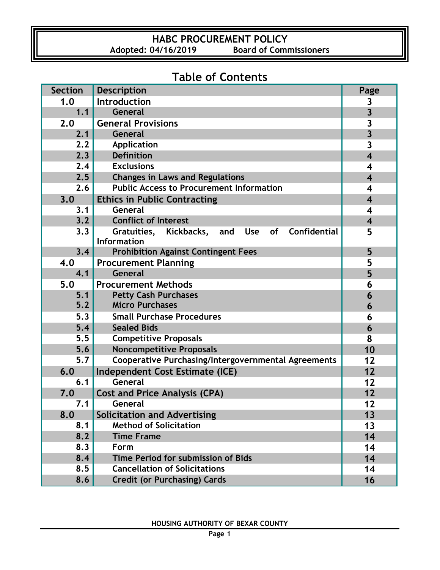### **HABC PROCUREMENT POLICY**<br>Adopted: 04/16/2019 Board of Comr **Board of Commissioners**

# **Table of Contents**

| <b>Section</b> | <b>Description</b>                                                               | Page                    |
|----------------|----------------------------------------------------------------------------------|-------------------------|
| 1.0            | Introduction                                                                     | 3                       |
| 1.1            | General                                                                          | $\overline{3}$          |
| 2.0            | <b>General Provisions</b>                                                        | 3                       |
| 2.1            | General                                                                          | $\overline{\mathbf{3}}$ |
| 2.2            | Application                                                                      | $\overline{\mathbf{3}}$ |
| 2.3            | <b>Definition</b>                                                                | $\overline{\mathbf{4}}$ |
| 2.4            | <b>Exclusions</b>                                                                | $\overline{\mathbf{4}}$ |
| 2.5            | <b>Changes in Laws and Regulations</b>                                           | $\overline{\mathbf{4}}$ |
| 2.6            | <b>Public Access to Procurement Information</b>                                  | $\overline{\mathbf{4}}$ |
| 3.0            | <b>Ethics in Public Contracting</b>                                              | $\overline{\mathbf{4}}$ |
| 3.1            | General                                                                          | $\overline{\mathbf{4}}$ |
| 3.2            | <b>Conflict of Interest</b>                                                      | $\overline{\mathbf{4}}$ |
| 3.3            | Gratuities, Kickbacks,<br><b>Use</b><br>Confidential<br>and<br>of<br>Information | 5                       |
| 3,4            | <b>Prohibition Against Contingent Fees</b>                                       | 5                       |
| 4.0            | <b>Procurement Planning</b>                                                      | 5                       |
| 4.1            | <b>General</b>                                                                   | 5                       |
| 5.0            | <b>Procurement Methods</b>                                                       | 6                       |
| 5.1            | <b>Petty Cash Purchases</b>                                                      | 6                       |
| $5.2$          | <b>Micro Purchases</b>                                                           | 6                       |
| 5.3            | <b>Small Purchase Procedures</b>                                                 | 6                       |
| 5.4            | <b>Sealed Bids</b>                                                               | 6                       |
| 5.5            | <b>Competitive Proposals</b>                                                     | 8                       |
| 5.6            | <b>Noncompetitive Proposals</b>                                                  | 10                      |
| $5.7$          | <b>Cooperative Purchasing/Intergovernmental Agreements</b>                       | 12                      |
| 6.0            | Independent Cost Estimate (ICE)                                                  | 12                      |
| 6.1            | General                                                                          | 12                      |
| 7.0            | <b>Cost and Price Analysis (CPA)</b>                                             | 12                      |
| 7.1            | General                                                                          | 12                      |
| 8.0            | <b>Solicitation and Advertising</b>                                              | 13                      |
| 8.1            | <b>Method of Solicitation</b>                                                    | 13                      |
| 8.2            | <b>Time Frame</b>                                                                | 14                      |
| 8.3            | Form                                                                             | 14                      |
| 8.4            | Time Period for submission of Bids                                               | 14                      |
| 8.5            | <b>Cancellation of Solicitations</b>                                             | 14                      |
| 8.6            | <b>Credit (or Purchasing) Cards</b>                                              | 16                      |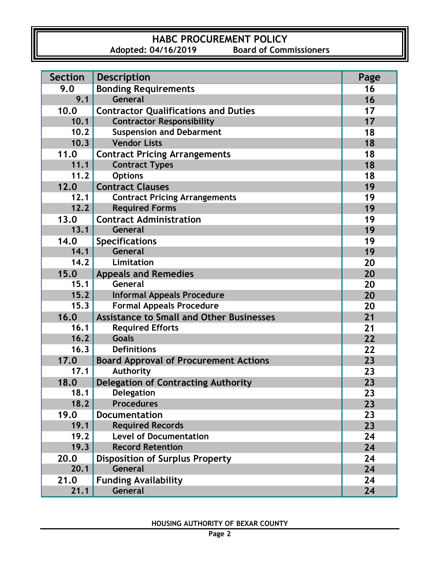### **HABC PROCUREMENT POLICY**<br>Adopted: 04/16/2019 Board of Comr **Board of Commissioners**

| <b>Section</b> | <b>Description</b>                              | Page |
|----------------|-------------------------------------------------|------|
| 9.0            | <b>Bonding Requirements</b>                     | 16   |
| 9.1            | General                                         | 16   |
| 10.0           | <b>Contractor Qualifications and Duties</b>     | 17   |
| 10.1           | <b>Contractor Responsibility</b>                | 17   |
| 10.2           | <b>Suspension and Debarment</b>                 | 18   |
| 10.3           | <b>Vendor Lists</b>                             | 18   |
| 11.0           | <b>Contract Pricing Arrangements</b>            | 18   |
| 11.1           | <b>Contract Types</b>                           | 18   |
| 11.2           | <b>Options</b>                                  | 18   |
| 12.0           | <b>Contract Clauses</b>                         | 19   |
| 12.1           | <b>Contract Pricing Arrangements</b>            | 19   |
| 12.2           | <b>Required Forms</b>                           | 19   |
| 13.0           | <b>Contract Administration</b>                  | 19   |
| 13.1           | <b>General</b>                                  | 19   |
| 14.0           | <b>Specifications</b>                           | 19   |
| 14.1           | General                                         | 19   |
| 14.2           | Limitation                                      | 20   |
| 15.0           | <b>Appeals and Remedies</b>                     | 20   |
| 15.1           | General                                         | 20   |
| 15.2           | <b>Informal Appeals Procedure</b>               | 20   |
| 15.3           | <b>Formal Appeals Procedure</b>                 | 20   |
| 16.0           | <b>Assistance to Small and Other Businesses</b> | 21   |
| 16.1           | <b>Required Efforts</b>                         | 21   |
| 16.2           | <b>Goals</b>                                    | 22   |
| 16.3           | <b>Definitions</b>                              | 22   |
| 17.0           | <b>Board Approval of Procurement Actions</b>    | 23   |
| 17.1           | Authority                                       | 23   |
| 18.0           | <b>Delegation of Contracting Authority</b>      | 23   |
| 18.1           | Delegation                                      | 23   |
| 18.2           | <b>Procedures</b>                               | 23   |
| 19.0           | <b>Documentation</b>                            | 23   |
| 19.1           | <b>Required Records</b>                         | 23   |
| 19.2           | <b>Level of Documentation</b>                   | 24   |
| 19.3           | <b>Record Retention</b>                         | 24   |
| 20.0           | <b>Disposition of Surplus Property</b>          | 24   |
| 20.1           | General                                         | 24   |
| 21.0           | <b>Funding Availability</b>                     | 24   |
| 21.1           | General                                         | 24   |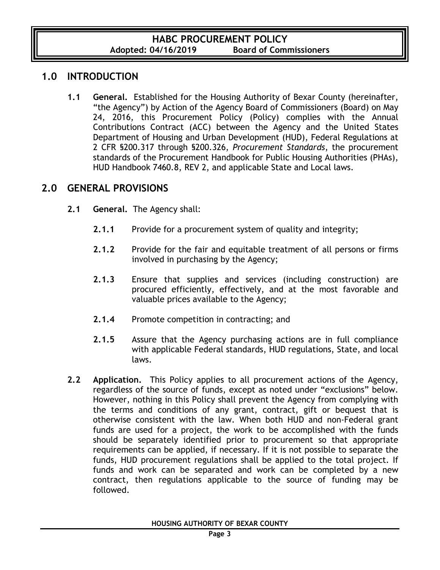### **1.0 INTRODUCTION**

**1.1 General.** Established for the Housing Authority of Bexar County (hereinafter, "the Agency") by Action of the Agency Board of Commissioners (Board) on May 24, 2016, this Procurement Policy (Policy) complies with the Annual Contributions Contract (ACC) between the Agency and the United States Department of Housing and Urban Development (HUD), Federal Regulations at 2 CFR §200.317 through §200.326, *Procurement Standards*, the procurement standards of the Procurement Handbook for Public Housing Authorities (PHAs), HUD Handbook 7460.8, REV 2, and applicable State and Local laws.

#### **2.0 GENERAL PROVISIONS**

- **2.1 General.** The Agency shall:
	- **2.1.1** Provide for a procurement system of quality and integrity;
	- **2.1.2** Provide for the fair and equitable treatment of all persons or firms involved in purchasing by the Agency;
	- **2.1.3** Ensure that supplies and services (including construction) are procured efficiently, effectively, and at the most favorable and valuable prices available to the Agency;
	- **2.1.4** Promote competition in contracting; and
	- **2.1.5** Assure that the Agency purchasing actions are in full compliance with applicable Federal standards, HUD regulations, State, and local laws.
- **2.2 Application.** This Policy applies to all procurement actions of the Agency, regardless of the source of funds, except as noted under "exclusions" below. However, nothing in this Policy shall prevent the Agency from complying with the terms and conditions of any grant, contract, gift or bequest that is otherwise consistent with the law. When both HUD and non-Federal grant funds are used for a project, the work to be accomplished with the funds should be separately identified prior to procurement so that appropriate requirements can be applied, if necessary. If it is not possible to separate the funds, HUD procurement regulations shall be applied to the total project. If funds and work can be separated and work can be completed by a new contract, then regulations applicable to the source of funding may be followed.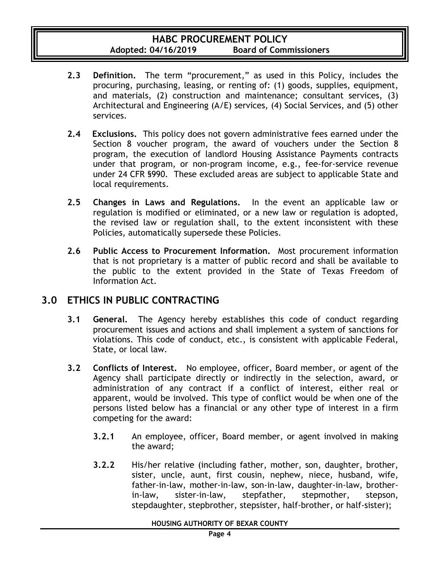- **2.3 Definition.** The term "procurement," as used in this Policy, includes the procuring, purchasing, leasing, or renting of: (1) goods, supplies, equipment, and materials, (2) construction and maintenance; consultant services, (3) Architectural and Engineering (A/E) services, (4) Social Services, and (5) other services.
- **2.4 Exclusions.** This policy does not govern administrative fees earned under the Section 8 voucher program, the award of vouchers under the Section 8 program, the execution of landlord Housing Assistance Payments contracts under that program, or non-program income, e.g., fee-for-service revenue under 24 CFR §990. These excluded areas are subject to applicable State and local requirements.
- **2.5 Changes in Laws and Regulations.** In the event an applicable law or regulation is modified or eliminated, or a new law or regulation is adopted, the revised law or regulation shall, to the extent inconsistent with these Policies, automatically supersede these Policies.
- **2.6 Public Access to Procurement Information.** Most procurement information that is not proprietary is a matter of public record and shall be available to the public to the extent provided in the State of Texas Freedom of Information Act.

### **3.0 ETHICS IN PUBLIC CONTRACTING**

- **3.1 General.** The Agency hereby establishes this code of conduct regarding procurement issues and actions and shall implement a system of sanctions for violations. This code of conduct, etc., is consistent with applicable Federal, State, or local law.
- **3.2 Conflicts of Interest.** No employee, officer, Board member, or agent of the Agency shall participate directly or indirectly in the selection, award, or administration of any contract if a conflict of interest, either real or apparent, would be involved. This type of conflict would be when one of the persons listed below has a financial or any other type of interest in a firm competing for the award:
	- **3.2.1** An employee, officer, Board member, or agent involved in making the award;
	- **3.2.2** His/her relative (including father, mother, son, daughter, brother, sister, uncle, aunt, first cousin, nephew, niece, husband, wife, father-in-law, mother-in-law, son-in-law, daughter-in-law, brotherin-law, sister-in-law, stepfather, stepmother, stepson, stepdaughter, stepbrother, stepsister, half-brother, or half-sister);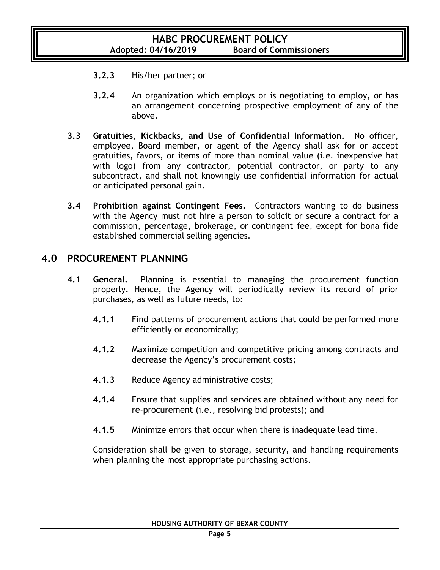- **3.2.3** His/her partner; or
- **3.2.4** An organization which employs or is negotiating to employ, or has an arrangement concerning prospective employment of any of the above.
- **3.3 Gratuities, Kickbacks, and Use of Confidential Information.** No officer, employee, Board member, or agent of the Agency shall ask for or accept gratuities, favors, or items of more than nominal value (i.e. inexpensive hat with logo) from any contractor, potential contractor, or party to any subcontract, and shall not knowingly use confidential information for actual or anticipated personal gain.
- **3.4 Prohibition against Contingent Fees.** Contractors wanting to do business with the Agency must not hire a person to solicit or secure a contract for a commission, percentage, brokerage, or contingent fee, except for bona fide established commercial selling agencies.

### **4.0 PROCUREMENT PLANNING**

- **4.1 General.** Planning is essential to managing the procurement function properly. Hence, the Agency will periodically review its record of prior purchases, as well as future needs, to:
	- **4.1.1** Find patterns of procurement actions that could be performed more efficiently or economically;
	- **4.1.2** Maximize competition and competitive pricing among contracts and decrease the Agency's procurement costs;
	- **4.1.3** Reduce Agency administrative costs;
	- **4.1.4** Ensure that supplies and services are obtained without any need for re-procurement (i.e., resolving bid protests); and
	- **4.1.5** Minimize errors that occur when there is inadequate lead time.

Consideration shall be given to storage, security, and handling requirements when planning the most appropriate purchasing actions.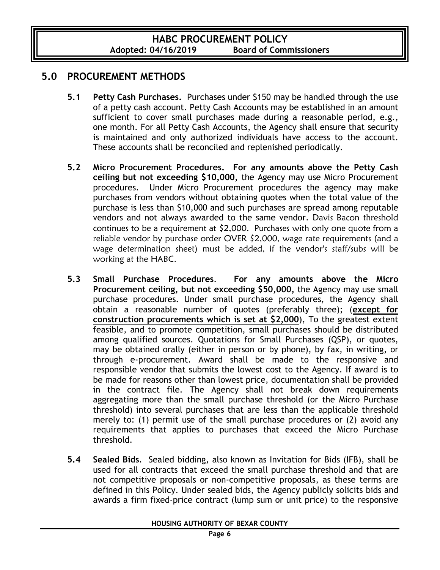### **5.0 PROCUREMENT METHODS**

- **5.1 Petty Cash Purchases.** Purchases under \$150 may be handled through the use of a petty cash account. Petty Cash Accounts may be established in an amount sufficient to cover small purchases made during a reasonable period, e.g., one month. For all Petty Cash Accounts, the Agency shall ensure that security is maintained and only authorized individuals have access to the account. These accounts shall be reconciled and replenished periodically.
- **5.2 Micro Procurement Procedures. For any amounts above the Petty Cash ceiling but not exceeding \$10,000,** the Agency may use Micro Procurement procedures. Under Micro Procurement procedures the agency may make purchases from vendors without obtaining quotes when the total value of the purchase is less than \$10,000 and such purchases are spread among reputable vendors and not always awarded to the same vendor. Davis Bacon threshold continues to be a requirement at \$2,000. Purchases with only one quote from a reliable vendor by purchase order OVER \$2,000, wage rate requirements (and a wage determination sheet) must be added, if the vendor's staff/subs will be working at the HABC.
- **5.3 Small Purchase Procedures**. **For any amounts above the Micro Procurement ceiling, but not exceeding \$50,000,** the Agency may use small purchase procedures. Under small purchase procedures, the Agency shall obtain a reasonable number of quotes (preferably three); (**except for construction procurements which is set at \$2,000**), To the greatest extent feasible, and to promote competition, small purchases should be distributed among qualified sources. Quotations for Small Purchases (QSP), or quotes, may be obtained orally (either in person or by phone), by fax, in writing, or through e-procurement. Award shall be made to the responsive and responsible vendor that submits the lowest cost to the Agency. If award is to be made for reasons other than lowest price, documentation shall be provided in the contract file. The Agency shall not break down requirements aggregating more than the small purchase threshold (or the Micro Purchase threshold) into several purchases that are less than the applicable threshold merely to: (1) permit use of the small purchase procedures or (2) avoid any requirements that applies to purchases that exceed the Micro Purchase threshold.
- **5.4 Sealed Bids**. Sealed bidding, also known as Invitation for Bids (IFB), shall be used for all contracts that exceed the small purchase threshold and that are not competitive proposals or non-competitive proposals, as these terms are defined in this Policy. Under sealed bids, the Agency publicly solicits bids and awards a firm fixed-price contract (lump sum or unit price) to the responsive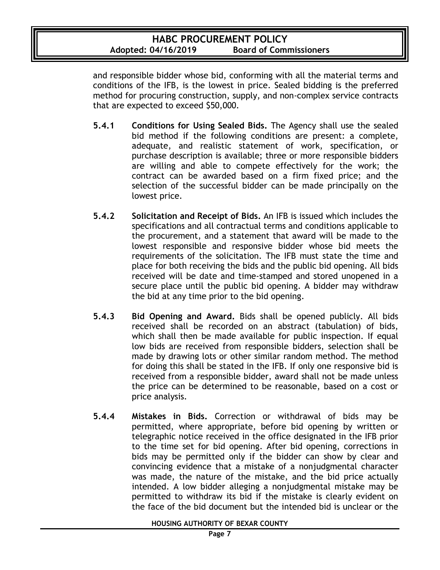and responsible bidder whose bid, conforming with all the material terms and conditions of the IFB, is the lowest in price. Sealed bidding is the preferred method for procuring construction, supply, and non-complex service contracts that are expected to exceed \$50,000.

- **5.4.1 Conditions for Using Sealed Bids.** The Agency shall use the sealed bid method if the following conditions are present: a complete, adequate, and realistic statement of work, specification, or purchase description is available; three or more responsible bidders are willing and able to compete effectively for the work; the contract can be awarded based on a firm fixed price; and the selection of the successful bidder can be made principally on the lowest price.
- **5.4.2 Solicitation and Receipt of Bids.** An IFB is issued which includes the specifications and all contractual terms and conditions applicable to the procurement, and a statement that award will be made to the lowest responsible and responsive bidder whose bid meets the requirements of the solicitation. The IFB must state the time and place for both receiving the bids and the public bid opening. All bids received will be date and time-stamped and stored unopened in a secure place until the public bid opening. A bidder may withdraw the bid at any time prior to the bid opening.
- **5.4.3 Bid Opening and Award.** Bids shall be opened publicly. All bids received shall be recorded on an abstract (tabulation) of bids, which shall then be made available for public inspection. If equal low bids are received from responsible bidders, selection shall be made by drawing lots or other similar random method. The method for doing this shall be stated in the IFB. If only one responsive bid is received from a responsible bidder, award shall not be made unless the price can be determined to be reasonable, based on a cost or price analysis.
- **5.4.4 Mistakes in Bids.** Correction or withdrawal of bids may be permitted, where appropriate, before bid opening by written or telegraphic notice received in the office designated in the IFB prior to the time set for bid opening. After bid opening, corrections in bids may be permitted only if the bidder can show by clear and convincing evidence that a mistake of a nonjudgmental character was made, the nature of the mistake, and the bid price actually intended. A low bidder alleging a nonjudgmental mistake may be permitted to withdraw its bid if the mistake is clearly evident on the face of the bid document but the intended bid is unclear or the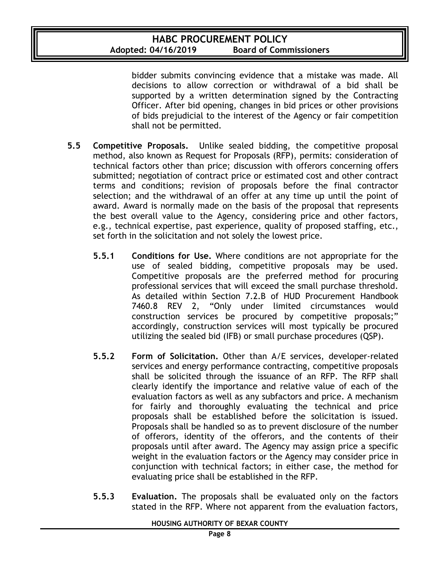bidder submits convincing evidence that a mistake was made. All decisions to allow correction or withdrawal of a bid shall be supported by a written determination signed by the Contracting Officer. After bid opening, changes in bid prices or other provisions of bids prejudicial to the interest of the Agency or fair competition shall not be permitted.

- **5.5 Competitive Proposals.** Unlike sealed bidding, the competitive proposal method, also known as Request for Proposals (RFP), permits: consideration of technical factors other than price; discussion with offerors concerning offers submitted; negotiation of contract price or estimated cost and other contract terms and conditions; revision of proposals before the final contractor selection; and the withdrawal of an offer at any time up until the point of award. Award is normally made on the basis of the proposal that represents the best overall value to the Agency, considering price and other factors, e.g., technical expertise, past experience, quality of proposed staffing, etc., set forth in the solicitation and not solely the lowest price.
	- **5.5.1 Conditions for Use.** Where conditions are not appropriate for the use of sealed bidding, competitive proposals may be used. Competitive proposals are the preferred method for procuring professional services that will exceed the small purchase threshold. As detailed within Section 7.2.B of HUD Procurement Handbook 7460.8 REV 2, "Only under limited circumstances would construction services be procured by competitive proposals;" accordingly, construction services will most typically be procured utilizing the sealed bid (IFB) or small purchase procedures (QSP).
	- **5.5.2 Form of Solicitation.** Other than A/E services, developer-related services and energy performance contracting, competitive proposals shall be solicited through the issuance of an RFP. The RFP shall clearly identify the importance and relative value of each of the evaluation factors as well as any subfactors and price. A mechanism for fairly and thoroughly evaluating the technical and price proposals shall be established before the solicitation is issued. Proposals shall be handled so as to prevent disclosure of the number of offerors, identity of the offerors, and the contents of their proposals until after award. The Agency may assign price a specific weight in the evaluation factors or the Agency may consider price in conjunction with technical factors; in either case, the method for evaluating price shall be established in the RFP.
	- **5.5.3 Evaluation.** The proposals shall be evaluated only on the factors stated in the RFP. Where not apparent from the evaluation factors,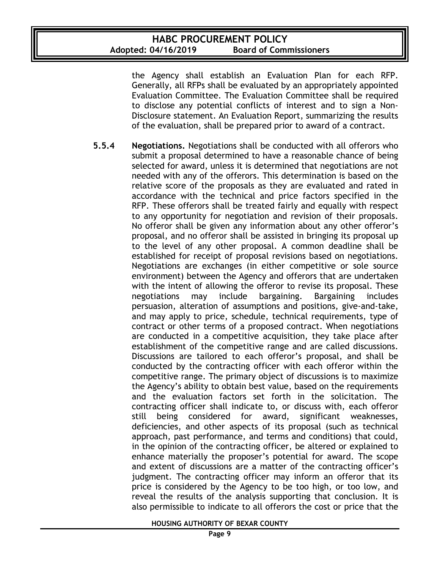the Agency shall establish an Evaluation Plan for each RFP. Generally, all RFPs shall be evaluated by an appropriately appointed Evaluation Committee. The Evaluation Committee shall be required to disclose any potential conflicts of interest and to sign a Non-Disclosure statement. An Evaluation Report, summarizing the results of the evaluation, shall be prepared prior to award of a contract.

**5.5.4 Negotiations.** Negotiations shall be conducted with all offerors who submit a proposal determined to have a reasonable chance of being selected for award, unless it is determined that negotiations are not needed with any of the offerors. This determination is based on the relative score of the proposals as they are evaluated and rated in accordance with the technical and price factors specified in the RFP. These offerors shall be treated fairly and equally with respect to any opportunity for negotiation and revision of their proposals. No offeror shall be given any information about any other offeror's proposal, and no offeror shall be assisted in bringing its proposal up to the level of any other proposal. A common deadline shall be established for receipt of proposal revisions based on negotiations. Negotiations are exchanges (in either competitive or sole source environment) between the Agency and offerors that are undertaken with the intent of allowing the offeror to revise its proposal. These negotiations may include bargaining. Bargaining includes persuasion, alteration of assumptions and positions, give-and-take, and may apply to price, schedule, technical requirements, type of contract or other terms of a proposed contract. When negotiations are conducted in a competitive acquisition, they take place after establishment of the competitive range and are called discussions. Discussions are tailored to each offeror's proposal, and shall be conducted by the contracting officer with each offeror within the competitive range. The primary object of discussions is to maximize the Agency's ability to obtain best value, based on the requirements and the evaluation factors set forth in the solicitation. The contracting officer shall indicate to, or discuss with, each offeror still being considered for award, significant weaknesses, deficiencies, and other aspects of its proposal (such as technical approach, past performance, and terms and conditions) that could, in the opinion of the contracting officer, be altered or explained to enhance materially the proposer's potential for award. The scope and extent of discussions are a matter of the contracting officer's judgment. The contracting officer may inform an offeror that its price is considered by the Agency to be too high, or too low, and reveal the results of the analysis supporting that conclusion. It is also permissible to indicate to all offerors the cost or price that the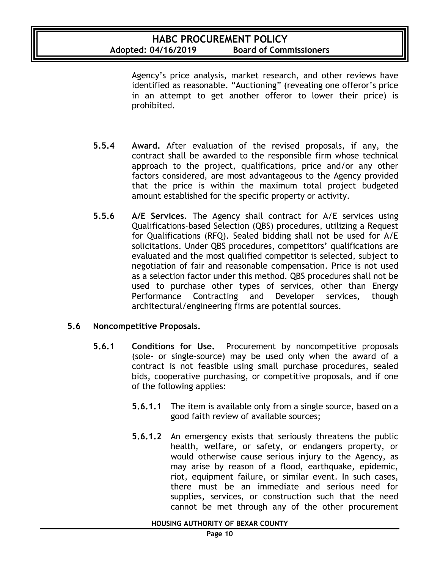Agency's price analysis, market research, and other reviews have identified as reasonable. "Auctioning" (revealing one offeror's price in an attempt to get another offeror to lower their price) is prohibited.

- **5.5.4 Award.** After evaluation of the revised proposals, if any, the contract shall be awarded to the responsible firm whose technical approach to the project, qualifications, price and/or any other factors considered, are most advantageous to the Agency provided that the price is within the maximum total project budgeted amount established for the specific property or activity.
- **5.5.6 A/E Services.** The Agency shall contract for A/E services using Qualifications-based Selection (QBS) procedures, utilizing a Request for Qualifications (RFQ). Sealed bidding shall not be used for A/E solicitations. Under QBS procedures, competitors' qualifications are evaluated and the most qualified competitor is selected, subject to negotiation of fair and reasonable compensation. Price is not used as a selection factor under this method. QBS procedures shall not be used to purchase other types of services, other than Energy Performance Contracting and Developer services, though architectural/engineering firms are potential sources.

#### **5.6 Noncompetitive Proposals.**

- **5.6.1 Conditions for Use.** Procurement by noncompetitive proposals (sole- or single-source) may be used only when the award of a contract is not feasible using small purchase procedures, sealed bids, cooperative purchasing, or competitive proposals, and if one of the following applies:
	- **5.6.1.1** The item is available only from a single source, based on a good faith review of available sources;
	- **5.6.1.2** An emergency exists that seriously threatens the public health, welfare, or safety, or endangers property, or would otherwise cause serious injury to the Agency, as may arise by reason of a flood, earthquake, epidemic, riot, equipment failure, or similar event. In such cases, there must be an immediate and serious need for supplies, services, or construction such that the need cannot be met through any of the other procurement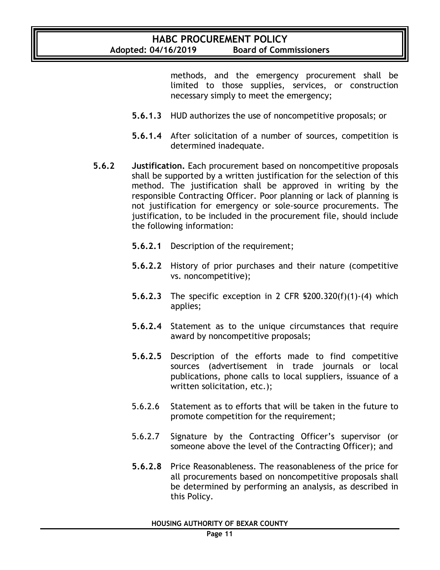methods, and the emergency procurement shall be limited to those supplies, services, or construction necessary simply to meet the emergency;

- **5.6.1.3** HUD authorizes the use of noncompetitive proposals; or
- **5.6.1.4** After solicitation of a number of sources, competition is determined inadequate.
- **5.6.2 Justification.** Each procurement based on noncompetitive proposals shall be supported by a written justification for the selection of this method. The justification shall be approved in writing by the responsible Contracting Officer. Poor planning or lack of planning is not justification for emergency or sole-source procurements. The justification, to be included in the procurement file, should include the following information:
	- **5.6.2.1** Description of the requirement;
	- **5.6.2.2** History of prior purchases and their nature (competitive vs. noncompetitive);
	- **5.6.2.3** The specific exception in 2 CFR §200.320(f)(1)-(4) which applies;
	- **5.6.2.4** Statement as to the unique circumstances that require award by noncompetitive proposals;
	- **5.6.2.5** Description of the efforts made to find competitive sources (advertisement in trade journals or local publications, phone calls to local suppliers, issuance of a written solicitation, etc.);
	- 5.6.2.6 Statement as to efforts that will be taken in the future to promote competition for the requirement;
	- 5.6.2.7 Signature by the Contracting Officer's supervisor (or someone above the level of the Contracting Officer); and
	- **5.6.2.8** Price Reasonableness. The reasonableness of the price for all procurements based on noncompetitive proposals shall be determined by performing an analysis, as described in this Policy.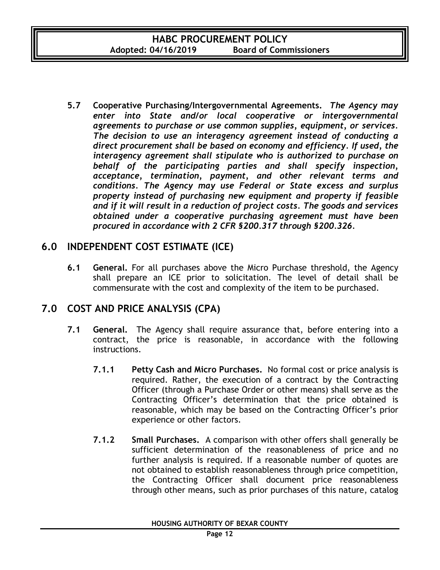**5.7 Cooperative Purchasing/Intergovernmental Agreements.** *The Agency may enter into State and/or local cooperative or intergovernmental agreements to purchase or use common supplies, equipment, or services. The decision to use an interagency agreement instead of conducting a direct procurement shall be based on economy and efficiency. If used, the interagency agreement shall stipulate who is authorized to purchase on behalf of the participating parties and shall specify inspection, acceptance, termination, payment, and other relevant terms and conditions. The Agency may use Federal or State excess and surplus property instead of purchasing new equipment and property if feasible and if it will result in a reduction of project costs. The goods and services obtained under a cooperative purchasing agreement must have been procured in accordance with 2 CFR §200.317 through §200.326.*

## **6.0 INDEPENDENT COST ESTIMATE (ICE)**

**6.1 General.** For all purchases above the Micro Purchase threshold, the Agency shall prepare an ICE prior to solicitation. The level of detail shall be commensurate with the cost and complexity of the item to be purchased.

### **7.0 COST AND PRICE ANALYSIS (CPA)**

- **7.1 General.** The Agency shall require assurance that, before entering into a contract, the price is reasonable, in accordance with the following instructions.
	- **7.1.1 Petty Cash and Micro Purchases.** No formal cost or price analysis is required. Rather, the execution of a contract by the Contracting Officer (through a Purchase Order or other means) shall serve as the Contracting Officer's determination that the price obtained is reasonable, which may be based on the Contracting Officer's prior experience or other factors.
	- **7.1.2 Small Purchases.** A comparison with other offers shall generally be sufficient determination of the reasonableness of price and no further analysis is required. If a reasonable number of quotes are not obtained to establish reasonableness through price competition, the Contracting Officer shall document price reasonableness through other means, such as prior purchases of this nature, catalog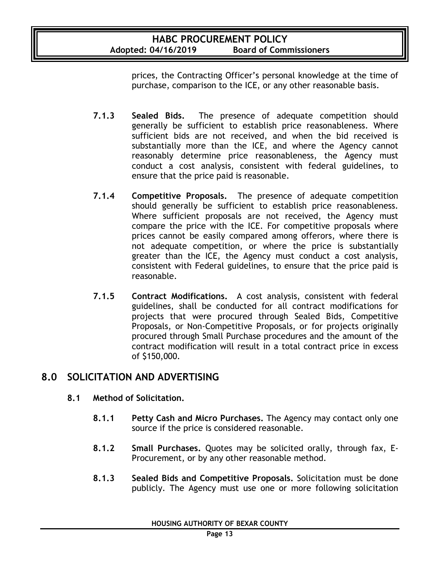prices, the Contracting Officer's personal knowledge at the time of purchase, comparison to the ICE, or any other reasonable basis.

- **7.1.3 Sealed Bids.** The presence of adequate competition should generally be sufficient to establish price reasonableness. Where sufficient bids are not received, and when the bid received is substantially more than the ICE, and where the Agency cannot reasonably determine price reasonableness, the Agency must conduct a cost analysis, consistent with federal guidelines, to ensure that the price paid is reasonable.
- **7.1.4 Competitive Proposals.** The presence of adequate competition should generally be sufficient to establish price reasonableness. Where sufficient proposals are not received, the Agency must compare the price with the ICE. For competitive proposals where prices cannot be easily compared among offerors, where there is not adequate competition, or where the price is substantially greater than the ICE, the Agency must conduct a cost analysis, consistent with Federal guidelines, to ensure that the price paid is reasonable.
- **7.1.5 Contract Modifications.** A cost analysis, consistent with federal guidelines, shall be conducted for all contract modifications for projects that were procured through Sealed Bids, Competitive Proposals, or Non-Competitive Proposals, or for projects originally procured through Small Purchase procedures and the amount of the contract modification will result in a total contract price in excess of \$150,000.

### **8.0 SOLICITATION AND ADVERTISING**

- **8.1 Method of Solicitation.**
	- **8.1.1 Petty Cash and Micro Purchases.** The Agency may contact only one source if the price is considered reasonable.
	- **8.1.2 Small Purchases.** Quotes may be solicited orally, through fax, E-Procurement, or by any other reasonable method.
	- **8.1.3 Sealed Bids and Competitive Proposals.** Solicitation must be done publicly. The Agency must use one or more following solicitation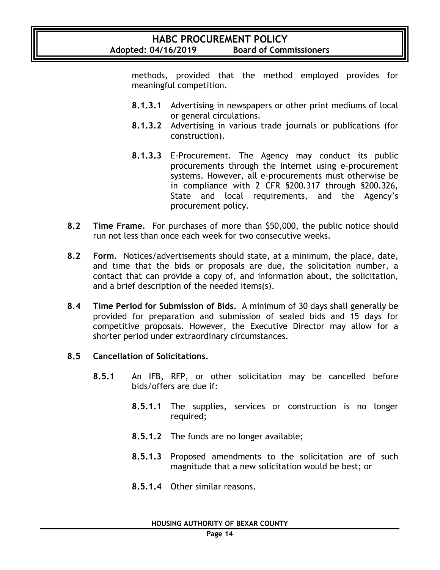methods, provided that the method employed provides for meaningful competition.

- **8.1.3.1** Advertising in newspapers or other print mediums of local or general circulations.
- **8.1.3.2** Advertising in various trade journals or publications (for construction).
- **8.1.3.3** E-Procurement. The Agency may conduct its public procurements through the Internet using e-procurement systems. However, all e-procurements must otherwise be in compliance with 2 CFR §200.317 through §200.326, State and local requirements, and the Agency's procurement policy.
- **8.2 Time Frame.** For purchases of more than \$50,000, the public notice should run not less than once each week for two consecutive weeks.
- **8.2 Form.** Notices/advertisements should state, at a minimum, the place, date, and time that the bids or proposals are due, the solicitation number, a contact that can provide a copy of, and information about, the solicitation, and a brief description of the needed items(s).
- **8.4 Time Period for Submission of Bids.** A minimum of 30 days shall generally be provided for preparation and submission of sealed bids and 15 days for competitive proposals. However, the Executive Director may allow for a shorter period under extraordinary circumstances.
- **8.5 Cancellation of Solicitations.**
	- **8.5.1** An IFB, RFP, or other solicitation may be cancelled before bids/offers are due if:
		- **8.5.1.1** The supplies, services or construction is no longer required;
		- **8.5.1.2** The funds are no longer available;
		- **8.5.1.3** Proposed amendments to the solicitation are of such magnitude that a new solicitation would be best; or
		- **8.5.1.4** Other similar reasons.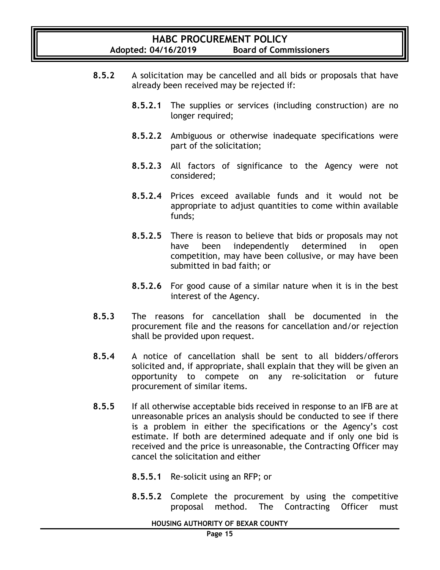- **8.5.2** A solicitation may be cancelled and all bids or proposals that have already been received may be rejected if:
	- **8.5.2.1** The supplies or services (including construction) are no longer required;
	- **8.5.2.2** Ambiguous or otherwise inadequate specifications were part of the solicitation;
	- **8.5.2.3** All factors of significance to the Agency were not considered;
	- **8.5.2.4** Prices exceed available funds and it would not be appropriate to adjust quantities to come within available funds;
	- **8.5.2.5** There is reason to believe that bids or proposals may not have been independently determined in open competition, may have been collusive, or may have been submitted in bad faith; or
	- **8.5.2.6** For good cause of a similar nature when it is in the best interest of the Agency.
- **8.5.3** The reasons for cancellation shall be documented in the procurement file and the reasons for cancellation and/or rejection shall be provided upon request.
- **8.5.4** A notice of cancellation shall be sent to all bidders/offerors solicited and, if appropriate, shall explain that they will be given an opportunity to compete on any re-solicitation or future procurement of similar items.
- **8.5.5** If all otherwise acceptable bids received in response to an IFB are at unreasonable prices an analysis should be conducted to see if there is a problem in either the specifications or the Agency's cost estimate. If both are determined adequate and if only one bid is received and the price is unreasonable, the Contracting Officer may cancel the solicitation and either
	- **8.5.5.1** Re-solicit using an RFP; or
	- **8.5.5.2** Complete the procurement by using the competitive proposal method. The Contracting Officer must

#### **HOUSING AUTHORITY OF BEXAR COUNTY**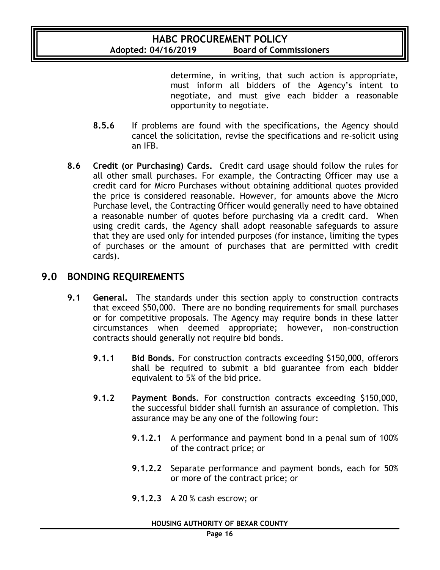determine, in writing, that such action is appropriate, must inform all bidders of the Agency's intent to negotiate, and must give each bidder a reasonable opportunity to negotiate.

- **8.5.6** If problems are found with the specifications, the Agency should cancel the solicitation, revise the specifications and re-solicit using an IFB.
- **8.6 Credit (or Purchasing) Cards.** Credit card usage should follow the rules for all other small purchases. For example, the Contracting Officer may use a credit card for Micro Purchases without obtaining additional quotes provided the price is considered reasonable. However, for amounts above the Micro Purchase level, the Contracting Officer would generally need to have obtained a reasonable number of quotes before purchasing via a credit card. When using credit cards, the Agency shall adopt reasonable safeguards to assure that they are used only for intended purposes (for instance, limiting the types of purchases or the amount of purchases that are permitted with credit cards).

#### **9.0 BONDING REQUIREMENTS**

- **9.1 General.** The standards under this section apply to construction contracts that exceed \$50,000. There are no bonding requirements for small purchases or for competitive proposals. The Agency may require bonds in these latter circumstances when deemed appropriate; however, non-construction contracts should generally not require bid bonds.
	- **9.1.1 Bid Bonds.** For construction contracts exceeding \$150,000, offerors shall be required to submit a bid guarantee from each bidder equivalent to 5% of the bid price.
	- **9.1.2 Payment Bonds.** For construction contracts exceeding \$150,000, the successful bidder shall furnish an assurance of completion. This assurance may be any one of the following four:
		- **9.1.2.1** A performance and payment bond in a penal sum of 100% of the contract price; or
		- **9.1.2.2** Separate performance and payment bonds, each for 50% or more of the contract price; or
		- **9.1.2.3** A 20 % cash escrow; or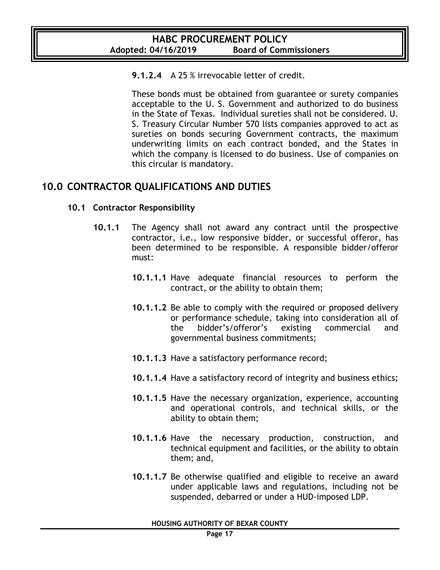#### **9.1.2.4** A 25 % irrevocable letter of credit.

These bonds must be obtained from guarantee or surety companies acceptable to the U. S. Government and authorized to do business in the State of Texas. Individual sureties shall not be considered. U. S. Treasury Circular Number 570 lists companies approved to act as sureties on bonds securing Government contracts, the maximum underwriting limits on each contract bonded, and the States in which the company is licensed to do business. Use of companies on this circular is mandatory.

### **10.0 CONTRACTOR QUALIFICATIONS AND DUTIES**

#### **10.1 Contractor Responsibility**

- **10.1.1** The Agency shall not award any contract until the prospective contractor, i.e., low responsive bidder, or successful offeror, has been determined to be responsible. A responsible bidder/offeror must:
	- **10.1.1.1** Have adequate financial resources to perform the contract, or the ability to obtain them;
	- **10.1.1.2** Be able to comply with the required or proposed delivery or performance schedule, taking into consideration all of the bidder's/offeror's existing commercial and governmental business commitments;
	- **10.1.1.3** Have a satisfactory performance record;
	- **10.1.1.4** Have a satisfactory record of integrity and business ethics;
	- **10.1.1.5** Have the necessary organization, experience, accounting and operational controls, and technical skills, or the ability to obtain them;
	- **10.1.1.6** Have the necessary production, construction, and technical equipment and facilities, or the ability to obtain them; and,
	- **10.1.1.7** Be otherwise qualified and eligible to receive an award under applicable laws and regulations, including not be suspended, debarred or under a HUD-imposed LDP.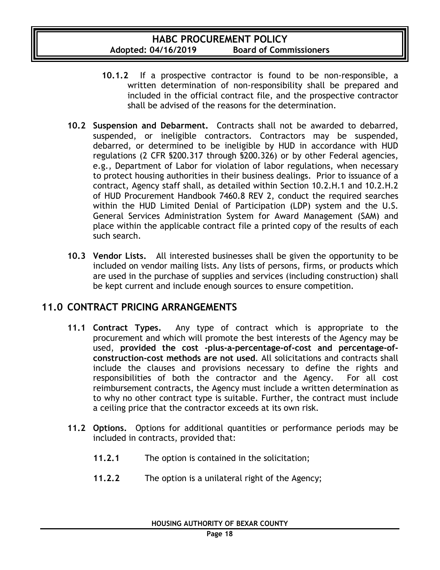- **10.1.2** If a prospective contractor is found to be non-responsible, a written determination of non-responsibility shall be prepared and included in the official contract file, and the prospective contractor shall be advised of the reasons for the determination.
- **10.2 Suspension and Debarment.** Contracts shall not be awarded to debarred, suspended, or ineligible contractors. Contractors may be suspended, debarred, or determined to be ineligible by HUD in accordance with HUD regulations (2 CFR §200.317 through §200.326) or by other Federal agencies, e.g., Department of Labor for violation of labor regulations, when necessary to protect housing authorities in their business dealings. Prior to issuance of a contract, Agency staff shall, as detailed within Section 10.2.H.1 and 10.2.H.2 of HUD Procurement Handbook 7460.8 REV 2, conduct the required searches within the HUD Limited Denial of Participation (LDP) system and the U.S. General Services Administration System for Award Management (SAM) and place within the applicable contract file a printed copy of the results of each such search.
- **10.3 Vendor Lists.** All interested businesses shall be given the opportunity to be included on vendor mailing lists. Any lists of persons, firms, or products which are used in the purchase of supplies and services (including construction) shall be kept current and include enough sources to ensure competition.

### **11.0 CONTRACT PRICING ARRANGEMENTS**

- **11.1 Contract Types.** Any type of contract which is appropriate to the procurement and which will promote the best interests of the Agency may be used, **provided the cost -plus-a-percentage-of-cost and percentage-ofconstruction-cost methods are not used**. All solicitations and contracts shall include the clauses and provisions necessary to define the rights and responsibilities of both the contractor and the Agency. For all cost reimbursement contracts, the Agency must include a written determination as to why no other contract type is suitable. Further, the contract must include a ceiling price that the contractor exceeds at its own risk.
- **11.2 Options.** Options for additional quantities or performance periods may be included in contracts, provided that:
	- **11.2.1** The option is contained in the solicitation;
	- **11.2.2** The option is a unilateral right of the Agency;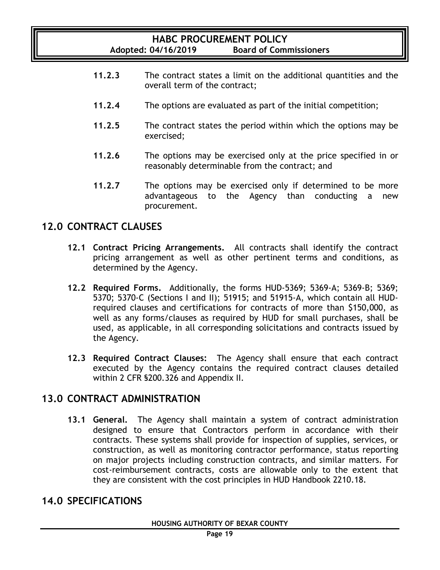- **11.2.3** The contract states a limit on the additional quantities and the overall term of the contract;
- **11.2.4** The options are evaluated as part of the initial competition;
- **11.2.5** The contract states the period within which the options may be exercised;
- **11.2.6** The options may be exercised only at the price specified in or reasonably determinable from the contract; and
- **11.2.7** The options may be exercised only if determined to be more advantageous to the Agency than conducting a new procurement.

### **12.0 CONTRACT CLAUSES**

- **12.1 Contract Pricing Arrangements.** All contracts shall identify the contract pricing arrangement as well as other pertinent terms and conditions, as determined by the Agency.
- **12.2 Required Forms.** Additionally, the forms HUD-5369; 5369-A; 5369-B; 5369; 5370; 5370-C (Sections I and II); 51915; and 51915-A, which contain all HUDrequired clauses and certifications for contracts of more than \$150,000, as well as any forms/clauses as required by HUD for small purchases, shall be used, as applicable, in all corresponding solicitations and contracts issued by the Agency.
- **12.3 Required Contract Clauses:** The Agency shall ensure that each contract executed by the Agency contains the required contract clauses detailed within 2 CFR §200.326 and Appendix II.

### **13.0 CONTRACT ADMINISTRATION**

**13.1 General.** The Agency shall maintain a system of contract administration designed to ensure that Contractors perform in accordance with their contracts. These systems shall provide for inspection of supplies, services, or construction, as well as monitoring contractor performance, status reporting on major projects including construction contracts, and similar matters. For cost-reimbursement contracts, costs are allowable only to the extent that they are consistent with the cost principles in HUD Handbook 2210.18.

### **14.0 SPECIFICATIONS**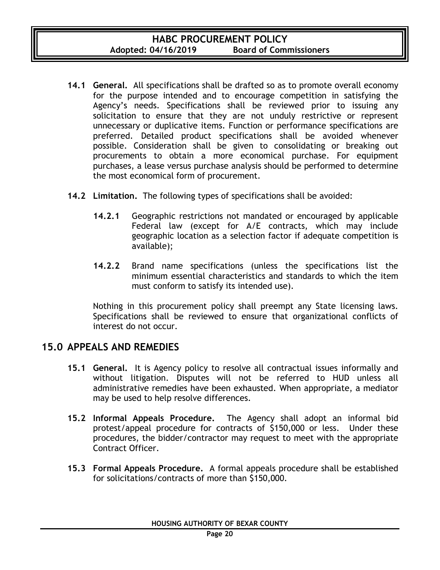- **14.1 General.** All specifications shall be drafted so as to promote overall economy for the purpose intended and to encourage competition in satisfying the Agency's needs. Specifications shall be reviewed prior to issuing any solicitation to ensure that they are not unduly restrictive or represent unnecessary or duplicative items. Function or performance specifications are preferred. Detailed product specifications shall be avoided whenever possible. Consideration shall be given to consolidating or breaking out procurements to obtain a more economical purchase. For equipment purchases, a lease versus purchase analysis should be performed to determine the most economical form of procurement.
- **14.2 Limitation.** The following types of specifications shall be avoided:
	- **14.2.1** Geographic restrictions not mandated or encouraged by applicable Federal law (except for A/E contracts, which may include geographic location as a selection factor if adequate competition is available);
	- **14.2.2** Brand name specifications (unless the specifications list the minimum essential characteristics and standards to which the item must conform to satisfy its intended use).

Nothing in this procurement policy shall preempt any State licensing laws. Specifications shall be reviewed to ensure that organizational conflicts of interest do not occur.

### **15.0 APPEALS AND REMEDIES**

- **15.1 General.** It is Agency policy to resolve all contractual issues informally and without litigation. Disputes will not be referred to HUD unless all administrative remedies have been exhausted. When appropriate, a mediator may be used to help resolve differences.
- **15.2 Informal Appeals Procedure.** The Agency shall adopt an informal bid protest/appeal procedure for contracts of \$150,000 or less. Under these procedures, the bidder/contractor may request to meet with the appropriate Contract Officer.
- **15.3 Formal Appeals Procedure.** A formal appeals procedure shall be established for solicitations/contracts of more than \$150,000.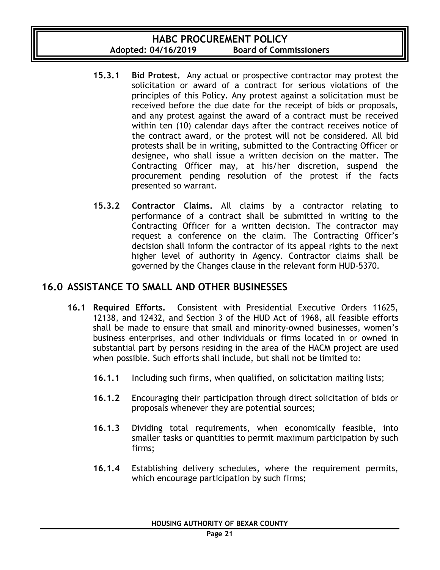- **15.3.1 Bid Protest.** Any actual or prospective contractor may protest the solicitation or award of a contract for serious violations of the principles of this Policy. Any protest against a solicitation must be received before the due date for the receipt of bids or proposals, and any protest against the award of a contract must be received within ten (10) calendar days after the contract receives notice of the contract award, or the protest will not be considered. All bid protests shall be in writing, submitted to the Contracting Officer or designee, who shall issue a written decision on the matter. The Contracting Officer may, at his/her discretion, suspend the procurement pending resolution of the protest if the facts presented so warrant.
- **15.3.2 Contractor Claims.** All claims by a contractor relating to performance of a contract shall be submitted in writing to the Contracting Officer for a written decision. The contractor may request a conference on the claim. The Contracting Officer's decision shall inform the contractor of its appeal rights to the next higher level of authority in Agency. Contractor claims shall be governed by the Changes clause in the relevant form HUD-5370.

### **16.0 ASSISTANCE TO SMALL AND OTHER BUSINESSES**

- **16.1 Required Efforts.** Consistent with Presidential Executive Orders 11625, 12138, and 12432, and Section 3 of the HUD Act of 1968, all feasible efforts shall be made to ensure that small and minority-owned businesses, women's business enterprises, and other individuals or firms located in or owned in substantial part by persons residing in the area of the HACM project are used when possible. Such efforts shall include, but shall not be limited to:
	- **16.1.1** Including such firms, when qualified, on solicitation mailing lists;
	- **16.1.2** Encouraging their participation through direct solicitation of bids or proposals whenever they are potential sources;
	- **16.1.3** Dividing total requirements, when economically feasible, into smaller tasks or quantities to permit maximum participation by such firms;
	- **16.1.4** Establishing delivery schedules, where the requirement permits, which encourage participation by such firms;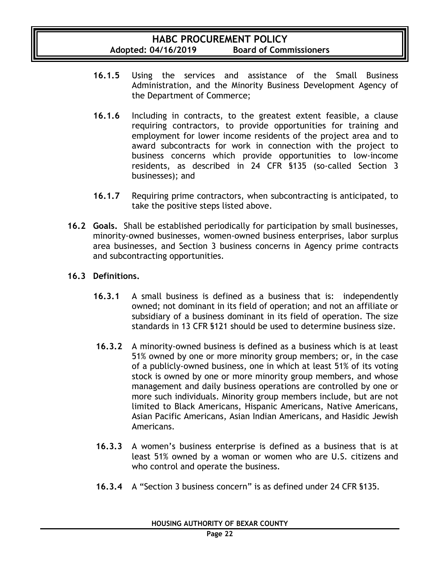- **16.1.5** Using the services and assistance of the Small Business Administration, and the Minority Business Development Agency of the Department of Commerce;
- **16.1.6** Including in contracts, to the greatest extent feasible, a clause requiring contractors, to provide opportunities for training and employment for lower income residents of the project area and to award subcontracts for work in connection with the project to business concerns which provide opportunities to low-income residents, as described in 24 CFR §135 (so-called Section 3 businesses); and
- **16.1.7** Requiring prime contractors, when subcontracting is anticipated, to take the positive steps listed above.
- **16.2 Goals.** Shall be established periodically for participation by small businesses, minority-owned businesses, women-owned business enterprises, labor surplus area businesses, and Section 3 business concerns in Agency prime contracts and subcontracting opportunities.

#### **16.3 Definitions.**

- **16.3.1** A small business is defined as a business that is: independently owned; not dominant in its field of operation; and not an affiliate or subsidiary of a business dominant in its field of operation. The size standards in 13 CFR §121 should be used to determine business size.
- **16.3.2** A minority-owned business is defined as a business which is at least 51% owned by one or more minority group members; or, in the case of a publicly-owned business, one in which at least 51% of its voting stock is owned by one or more minority group members, and whose management and daily business operations are controlled by one or more such individuals. Minority group members include, but are not limited to Black Americans, Hispanic Americans, Native Americans, Asian Pacific Americans, Asian Indian Americans, and Hasidic Jewish Americans.
- **16.3.3** A women's business enterprise is defined as a business that is at least 51% owned by a woman or women who are U.S. citizens and who control and operate the business.
- **16.3.4** A "Section 3 business concern" is as defined under 24 CFR §135.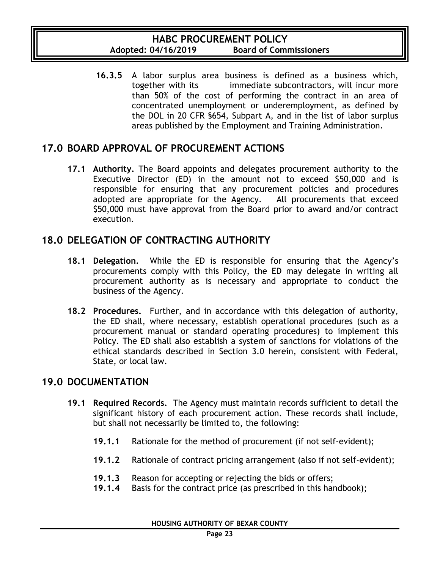**16.3.5** A labor surplus area business is defined as a business which, together with its immediate subcontractors, will incur more than 50% of the cost of performing the contract in an area of concentrated unemployment or underemployment, as defined by the DOL in 20 CFR §654, Subpart A, and in the list of labor surplus areas published by the Employment and Training Administration.

### **17.0 BOARD APPROVAL OF PROCUREMENT ACTIONS**

**17.1 Authority.** The Board appoints and delegates procurement authority to the Executive Director (ED) in the amount not to exceed \$50,000 and is responsible for ensuring that any procurement policies and procedures adopted are appropriate for the Agency. All procurements that exceed \$50,000 must have approval from the Board prior to award and/or contract execution.

### **18.0 DELEGATION OF CONTRACTING AUTHORITY**

- **18.1 Delegation.** While the ED is responsible for ensuring that the Agency's procurements comply with this Policy, the ED may delegate in writing all procurement authority as is necessary and appropriate to conduct the business of the Agency.
- **18.2 Procedures.** Further, and in accordance with this delegation of authority, the ED shall, where necessary, establish operational procedures (such as a procurement manual or standard operating procedures) to implement this Policy. The ED shall also establish a system of sanctions for violations of the ethical standards described in Section 3.0 herein, consistent with Federal, State, or local law.

### **19.0 DOCUMENTATION**

- **19.1 Required Records.** The Agency must maintain records sufficient to detail the significant history of each procurement action. These records shall include, but shall not necessarily be limited to, the following:
	- **19.1.1** Rationale for the method of procurement (if not self-evident);
	- **19.1.2** Rationale of contract pricing arrangement (also if not self-evident);
	- **19.1.3** Reason for accepting or rejecting the bids or offers;
	- **19.1.4** Basis for the contract price (as prescribed in this handbook);